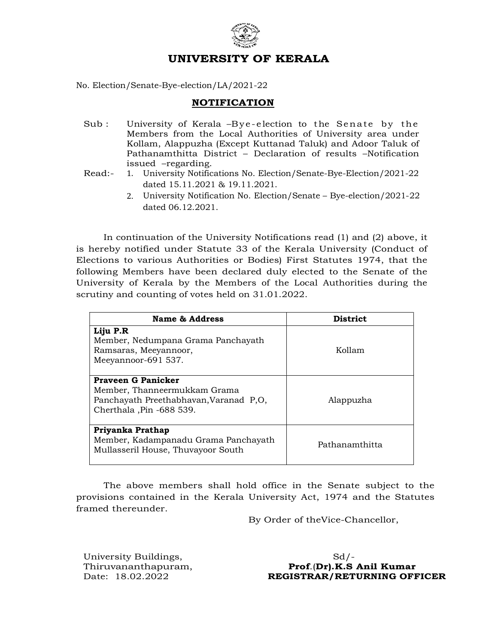

## UNIVERSITY OF KERALA

No. Election/Senate-Bye-election/LA/2021-22

## NOTIFICATION

- Sub : University of Kerala –Bye-election to the Senate by the Members from the Local Authorities of University area under Kollam, Alappuzha (Except Kuttanad Taluk) and Adoor Taluk of Pathanamthitta District – Declaration of results –Notification issued –regarding.
- Read:- 1. University Notifications No. Election/Senate-Bye-Election/2021-22 dated 15.11.2021 & 19.11.2021.
	- 2. University Notification No. Election/Senate Bye-election/2021-22 dated 06.12.2021.

In continuation of the University Notifications read (1) and (2) above, it is hereby notified under Statute 33 of the Kerala University (Conduct of Elections to various Authorities or Bodies) First Statutes 1974, that the following Members have been declared duly elected to the Senate of the University of Kerala by the Members of the Local Authorities during the scrutiny and counting of votes held on 31.01.2022.

| Name & Address                                                                                                                  | <b>District</b> |
|---------------------------------------------------------------------------------------------------------------------------------|-----------------|
| Liju P.R<br>Member, Nedumpana Grama Panchayath<br>Ramsaras, Meeyannoor,<br>Meeyannoor-691 537.                                  | Kollam          |
| <b>Praveen G Panicker</b><br>Member, Thanneermukkam Grama<br>Panchayath Preethabhavan, Varanad P,O,<br>Cherthala, Pin -688 539. | Alappuzha       |
| Priyanka Prathap<br>Member, Kadampanadu Grama Panchayath<br>Mullasseril House, Thuvayoor South                                  | Pathanamthitta  |

The above members shall hold office in the Senate subject to the provisions contained in the Kerala University Act, 1974 and the Statutes framed thereunder.

By Order of theVice-Chancellor,

University Buildings, Sd/-

Thiruvananthapuram,<br>Date: 18.02.2022 **Prof.(Dr).K.S Anil Kumar** REGISTRAR/RETURNING OFFICER